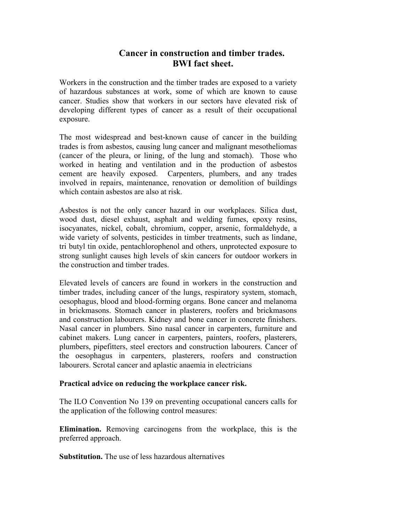# **Cancer in construction and timber trades. BWI fact sheet.**

Workers in the construction and the timber trades are exposed to a variety of hazardous substances at work, some of which are known to cause cancer. Studies show that workers in our sectors have elevated risk of developing different types of cancer as a result of their occupational exposure.

The most widespread and best-known cause of cancer in the building trades is from asbestos, causing lung cancer and malignant mesotheliomas (cancer of the pleura, or lining, of the lung and stomach). Those who worked in heating and ventilation and in the production of asbestos cement are heavily exposed. Carpenters, plumbers, and any trades involved in repairs, maintenance, renovation or demolition of buildings which contain asbestos are also at risk.

Asbestos is not the only cancer hazard in our workplaces. Silica dust, wood dust, diesel exhaust, asphalt and welding fumes, epoxy resins, isocyanates, nickel, cobalt, chromium, copper, arsenic, formaldehyde, a wide variety of solvents, pesticides in timber treatments, such as lindane, tri butyl tin oxide, pentachlorophenol and others, unprotected exposure to strong sunlight causes high levels of skin cancers for outdoor workers in the construction and timber trades.

Elevated levels of cancers are found in workers in the construction and timber trades, including cancer of the lungs, respiratory system, stomach, oesophagus, blood and blood-forming organs. Bone cancer and melanoma in brickmasons. Stomach cancer in plasterers, roofers and brickmasons and construction labourers. Kidney and bone cancer in concrete finishers. Nasal cancer in plumbers. Sino nasal cancer in carpenters, furniture and cabinet makers. Lung cancer in carpenters, painters, roofers, plasterers, plumbers, pipefitters, steel erectors and construction labourers. Cancer of the oesophagus in carpenters, plasterers, roofers and construction labourers. Scrotal cancer and aplastic anaemia in electricians

## **Practical advice on reducing the workplace cancer risk.**

The ILO Convention No 139 on preventing occupational cancers calls for the application of the following control measures:

**Elimination.** Removing carcinogens from the workplace, this is the preferred approach.

**Substitution.** The use of less hazardous alternatives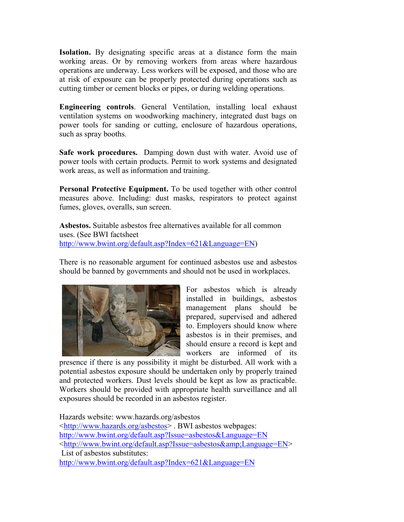**Isolation.** By designating specific areas at a distance form the main working areas. Or by removing workers from areas where hazardous operations are underway. Less workers will be exposed, and those who are at risk of exposure can be properly protected during operations such as cutting timber or cement blocks or pipes, or during welding operations.

**Engineering controls**. General Ventilation, installing local exhaust ventilation systems on woodworking machinery, integrated dust bags on power tools for sanding or cutting, enclosure of hazardous operations, such as spray booths.

**Safe work procedures.** Damping down dust with water. Avoid use of power tools with certain products. Permit to work systems and designated work areas, as well as information and training.

**Personal Protective Equipment.** To be used together with other control measures above. Including: dust masks, respirators to protect against fumes, gloves, overalls, sun screen.

**Asbestos.** Suitable asbestos free alternatives available for all common uses. (See BWI factsheet http://www.bwint.org/default.asp?Index=621&Language=EN)

There is no reasonable argument for continued asbestos use and asbestos should be banned by governments and should not be used in workplaces.



For asbestos which is already installed in buildings, asbestos management plans should be prepared, supervised and adhered to. Employers should know where asbestos is in their premises, and should ensure a record is kept and workers are informed of its

presence if there is any possibility it might be disturbed. All work with a potential asbestos exposure should be undertaken only by properly trained and protected workers. Dust levels should be kept as low as practicable. Workers should be provided with appropriate health surveillance and all exposures should be recorded in an asbestos register.

Hazards website: www.hazards.org/asbestos <http://www.hazards.org/asbestos> . BWI asbestos webpages: http://www.bwint.org/default.asp?Issue=asbestos&Language=EN <http://www.bwint.org/default.asp?Issue=asbestos&amp;Language=EN> List of asbestos substitutes: http://www.bwint.org/default.asp?Index=621&Language=EN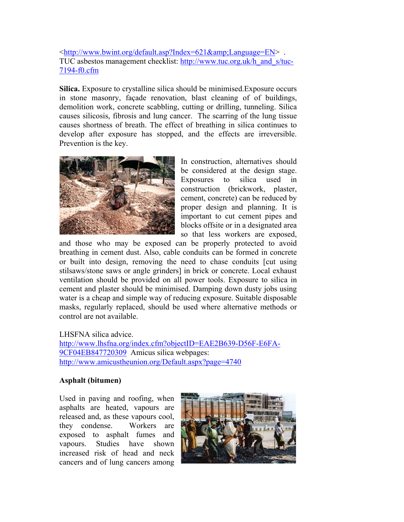$\lt$ http://www.bwint.org/default.asp?Index=621&Language=EN>. TUC asbestos management checklist: http://www.tuc.org.uk/h\_and\_s/tuc-7194-f0.cfm

**Silica.** Exposure to crystalline silica should be minimised.Exposure occurs in stone masonry, façade renovation, blast cleaning of of buildings, demolition work, concrete scabbling, cutting or drilling, tunneling. Silica causes silicosis, fibrosis and lung cancer. The scarring of the lung tissue causes shortness of breath. The effect of breathing in silica continues to develop after exposure has stopped, and the effects are irreversible. Prevention is the key.



In construction, alternatives should be considered at the design stage. Exposures to silica used in construction (brickwork, plaster, cement, concrete) can be reduced by proper design and planning. It is important to cut cement pipes and blocks offsite or in a designated area so that less workers are exposed,

and those who may be exposed can be properly protected to avoid breathing in cement dust. Also, cable conduits can be formed in concrete or built into design, removing the need to chase conduits [cut using stilsaws/stone saws or angle grinders] in brick or concrete. Local exhaust ventilation should be provided on all power tools. Exposure to silica in cement and plaster should be minimised. Damping down dusty jobs using water is a cheap and simple way of reducing exposure. Suitable disposable masks, regularly replaced, should be used where alternative methods or control are not available.

LHSFNA silica advice.

http://www.lhsfna.org/index.cfm?objectID=EAE2B639-D56F-E6FA-9CF04EB847720309 Amicus silica webpages: http://www.amicustheunion.org/Default.aspx?page=4740

## **Asphalt (bitumen)**

Used in paving and roofing, when asphalts are heated, vapours are released and, as these vapours cool, they condense. Workers are exposed to asphalt fumes and vapours. Studies have shown increased risk of head and neck cancers and of lung cancers among

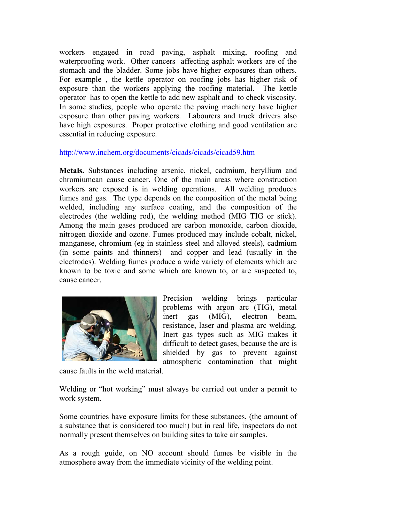workers engaged in road paving, asphalt mixing, roofing and waterproofing work. Other cancers affecting asphalt workers are of the stomach and the bladder. Some jobs have higher exposures than others. For example , the kettle operator on roofing jobs has higher risk of exposure than the workers applying the roofing material. The kettle operator has to open the kettle to add new asphalt and to check viscosity. In some studies, people who operate the paving machinery have higher exposure than other paving workers. Labourers and truck drivers also have high exposures. Proper protective clothing and good ventilation are essential in reducing exposure.

## http://www.inchem.org/documents/cicads/cicads/cicad59.htm

**Metals.** Substances including arsenic, nickel, cadmium, beryllium and chromiumcan cause cancer. One of the main areas where construction workers are exposed is in welding operations. All welding produces fumes and gas. The type depends on the composition of the metal being welded, including any surface coating, and the composition of the electrodes (the welding rod), the welding method (MIG TIG or stick). Among the main gases produced are carbon monoxide, carbon dioxide, nitrogen dioxide and ozone. Fumes produced may include cobalt, nickel, manganese, chromium (eg in stainless steel and alloyed steels), cadmium (in some paints and thinners) and copper and lead (usually in the electrodes). Welding fumes produce a wide variety of elements which are known to be toxic and some which are known to, or are suspected to, cause cancer.



Precision welding brings particular problems with argon arc (TIG), metal inert gas (MIG), electron beam, resistance, laser and plasma arc welding. Inert gas types such as MIG makes it difficult to detect gases, because the arc is shielded by gas to prevent against atmospheric contamination that might

cause faults in the weld material.

Welding or "hot working" must always be carried out under a permit to work system.

Some countries have exposure limits for these substances, (the amount of a substance that is considered too much) but in real life, inspectors do not normally present themselves on building sites to take air samples.

As a rough guide, on NO account should fumes be visible in the atmosphere away from the immediate vicinity of the welding point.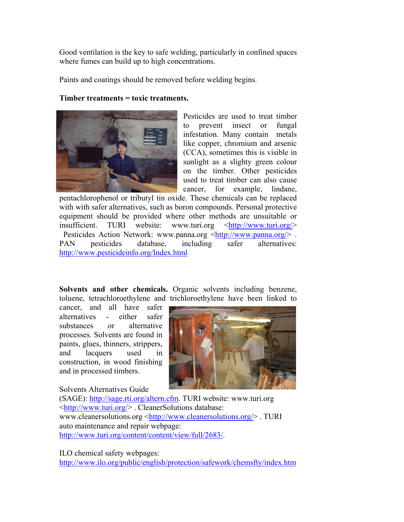Good ventilation is the key to safe welding, particularly in confined spaces where fumes can build up to high concentrations.

Paints and coatings should be removed before welding begins.

## **Timber treatments = toxic treatments.**



Pesticides are used to treat timber to prevent insect or fungal infestation. Many contain metals like copper, chromium and arsenic (CCA), sometimes this is visible in sunlight as a slighty green colour on the timber. Other pesticides used to treat timber can also cause cancer, for example, lindane,

pentachlorophenol or tributyl tin oxide. These chemicals can be replaced with with safer alternatives, such as boron compounds. Personal protective equipment should be provided where other methods are unsuitable or insufficient. TURI website: www.turi.org <http://www.turi.org/> Pesticides Action Network: www.panna.org <http://www.panna.org/>. PAN pesticides database, including safer alternatives: http://www.pesticideinfo.org/Index.html

**Solvents and other chemicals.** Organic solvents including benzene, toluene, tetrachloroethylene and trichloroethylene have been linked to

cancer, and all have safer alternatives - either safer substances or alternative processes. Solvents are found in paints, glues, thinners, strippers, and lacquers used in construction, in wood finishing and in processed timbers.

Solvents Alternatives Guide



(SAGE): http://sage.rti.org/altern.cfm. TURI website: www.turi.org <http://www.turi.org/> . CleanerSolutions database: www.cleanersolutions.org <http://www.cleanersolutions.org/> . TURI auto maintenance and repair webpage: http://www.turi.org/content/content/view/full/2683/.

ILO chemical safety webpages:

http://www.ilo.org/public/english/protection/safework/chemsfty/index.htm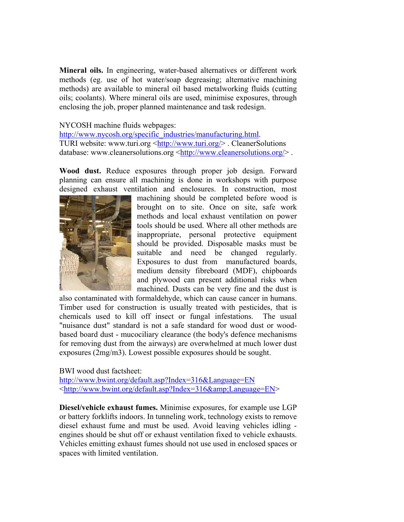**Mineral oils.** In engineering, water-based alternatives or different work methods (eg. use of hot water/soap degreasing; alternative machining methods) are available to mineral oil based metalworking fluids (cutting oils; coolants). Where mineral oils are used, minimise exposures, through enclosing the job, proper planned maintenance and task redesign.

## NYCOSH machine fluids webpages:

http://www.nycosh.org/specific\_industries/manufacturing.html. TURI website: www.turi.org <http://www.turi.org/> . CleanerSolutions database: www.cleanersolutions.org <http://www.cleanersolutions.org/>.

**Wood dust.** Reduce exposures through proper job design. Forward planning can ensure all machining is done in workshops with purpose designed exhaust ventilation and enclosures. In construction, most



machining should be completed before wood is brought on to site. Once on site, safe work methods and local exhaust ventilation on power tools should be used. Where all other methods are inappropriate, personal protective equipment should be provided. Disposable masks must be suitable and need be changed regularly. Exposures to dust from manufactured boards, medium density fibreboard (MDF), chipboards and plywood can present additional risks when machined. Dusts can be very fine and the dust is

also contaminated with formaldehyde, which can cause cancer in humans. Timber used for construction is usually treated with pesticides, that is chemicals used to kill off insect or fungal infestations. The usual "nuisance dust" standard is not a safe standard for wood dust or woodbased board dust - mucociliary clearance (the body's defence mechanisms for removing dust from the airways) are overwhelmed at much lower dust exposures (2mg/m3). Lowest possible exposures should be sought.

BWI wood dust factsheet: http://www.bwint.org/default.asp?Index=316&Language=EN <http://www.bwint.org/default.asp?Index=316&amp;Language=EN>

**Diesel/vehicle exhaust fumes.** Minimise exposures, for example use LGP or battery forklifts indoors. In tunneling work, technology exists to remove diesel exhaust fume and must be used. Avoid leaving vehicles idling engines should be shut off or exhaust ventilation fixed to vehicle exhausts. Vehicles emitting exhaust fumes should not use used in enclosed spaces or spaces with limited ventilation.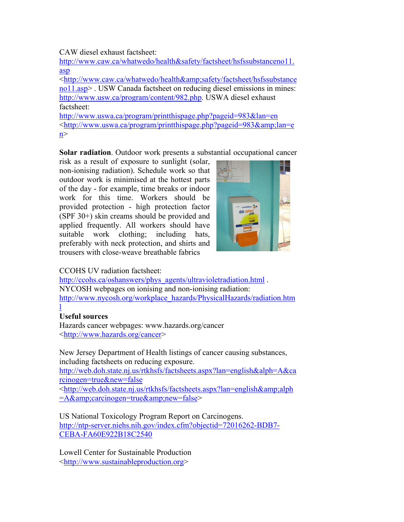CAW diesel exhaust factsheet:

http://www.caw.ca/whatwedo/health&safety/factsheet/hsfssubstanceno11. asp

<http://www.caw.ca/whatwedo/health&amp;safety/factsheet/hsfssubstance no11.asp> . USW Canada factsheet on reducing diesel emissions in mines: http://www.usw.ca/program/content/982.php. USWA diesel exhaust factsheet:

http://www.uswa.ca/program/printthispage.php?pageid=983&lan=en  $\lt$ http://www.uswa.ca/program/printthispage.php?pageid=983&lan=e  $n$ 

**Solar radiation**. Outdoor work presents a substantial occupational cancer

risk as a result of exposure to sunlight (solar, non-ionising radiation). Schedule work so that outdoor work is minimised at the hottest parts of the day - for example, time breaks or indoor work for this time. Workers should be provided protection - high protection factor (SPF 30+) skin creams should be provided and applied frequently. All workers should have suitable work clothing; including hats, preferably with neck protection, and shirts and trousers with close-weave breathable fabrics



# CCOHS UV radiation factsheet:

http://ccohs.ca/oshanswers/phys\_agents/ultravioletradiation.html. NYCOSH webpages on ionising and non-ionising radiation: http://www.nycosh.org/workplace\_hazards/PhysicalHazards/radiation.htm

#### l **Useful sources**

Hazards cancer webpages: www.hazards.org/cancer <http://www.hazards.org/cancer>

New Jersey Department of Health listings of cancer causing substances, including factsheets on reducing exposure.

http://web.doh.state.nj.us/rtkhsfs/factsheets.aspx?lan=english&alph=A&ca rcinogen=true&new=false

 $\langle \text{http://web.doh.state.ni.us/rtkhsfs/factsheets.aspx?lan=english&alph$  $=A\&carcinogen = true\&new = false$ 

US National Toxicology Program Report on Carcinogens. http://ntp-server.niehs.nih.gov/index.cfm?objectid=72016262-BDB7- CEBA-FA60E922B18C2540

Lowell Center for Sustainable Production <http://www.sustainableproduction.org>